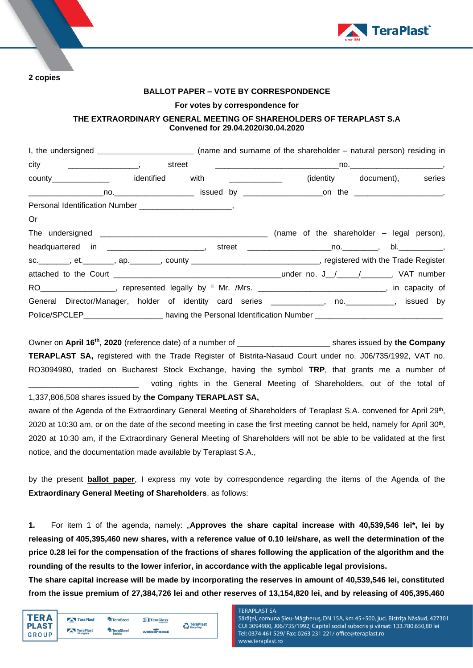

**2 copies** 

## **BALLOT PAPER – VOTE BY CORRESPONDENCE**

## **For votes by correspondence for**

# **THE EXTRAORDINARY GENERAL MEETING OF SHAREHOLDERS OF TERAPLAST S.A Convened for 29.04.2020/30.04.2020**

|                                                                                                                | I, the undersigned ________________________________ (name and surname of the shareholder – natural person) residing in |  |                             |
|----------------------------------------------------------------------------------------------------------------|------------------------------------------------------------------------------------------------------------------------|--|-----------------------------|
|                                                                                                                |                                                                                                                        |  |                             |
| county_______________ identified with _____________                                                            |                                                                                                                        |  | (identity document), series |
|                                                                                                                |                                                                                                                        |  |                             |
|                                                                                                                |                                                                                                                        |  |                             |
| Or                                                                                                             |                                                                                                                        |  |                             |
|                                                                                                                |                                                                                                                        |  |                             |
|                                                                                                                |                                                                                                                        |  |                             |
| sc.________, et._______, ap._______, county ____________________________, registered with the Trade Register   |                                                                                                                        |  |                             |
|                                                                                                                |                                                                                                                        |  |                             |
| RO ___________________, represented legally by " Mr. /Mrs. _______________________________, in capacity of     |                                                                                                                        |  |                             |
| General Director/Manager, holder of identity card series ____________, no. __________, issued by               |                                                                                                                        |  |                             |
| Police/SPCLEP__________________________ having the Personal Identification Number ____________________________ |                                                                                                                        |  |                             |

Owner on April 16<sup>th</sup>, 2020 (reference date) of a number of \_\_\_\_\_\_\_\_\_\_\_\_\_\_\_\_\_\_\_\_\_\_\_\_ shares issued by the Company **TERAPLAST SA,** registered with the Trade Register of Bistrita-Nasaud Court under no. J06/735/1992, VAT no. RO3094980, traded on Bucharest Stock Exchange, having the symbol **TRP**, that grants me a number of voting rights in the General Meeting of Shareholders, out of the total of

1,337,806,508 shares issued by **the Company TERAPLAST SA,**

aware of the Agenda of the Extraordinary General Meeting of Shareholders of Teraplast S.A. convened for April 29<sup>th</sup>, 2020 at 10:30 am, or on the date of the second meeting in case the first meeting cannot be held, namely for April 30<sup>th</sup>, 2020 at 10:30 am, if the Extraordinary General Meeting of Shareholders will not be able to be validated at the first notice, and the documentation made available by Teraplast S.A.,

by the present **ballot paper**, I express my vote by correspondence regarding the items of the Agenda of the **Extraordinary General Meeting of Shareholders**, as follows:

**1.** For item 1 of the agenda, namely: "**Approves the share capital increase with 40,539,546 lei\*, lei by releasing of 405,395,460 new shares, with a reference value of 0.10 lei/share, as well the determination of the price 0.28 lei for the compensation of the fractions of shares following the application of the algorithm and the rounding of the results to the lower inferior, in accordance with the applicable legal provisions.** 

**The share capital increase will be made by incorporating the reserves in amount of 40,539,546 lei, constituted from the issue premium of 27,384,726 lei and other reserves of 13,154,820 lei, and by releasing of 405,395,460** 

| TERA<br><b>PLAST</b> | TeraPlast            | TeraSteel           | TeraGlass  | <b>A</b> TeraPlast |
|----------------------|----------------------|---------------------|------------|--------------------|
| GROUP                | TeraPlast<br>Hungary | TeraSteel<br>Serbia | wetterbest | Recycling          |
|                      |                      |                     |            |                    |

**TFRAPI AST SA**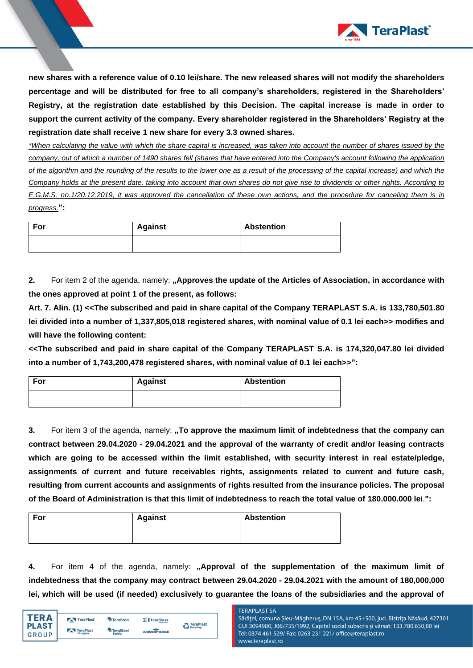

**new shares with a reference value of 0.10 lei/share. The new released shares will not modify the shareholders percentage and will be distributed for free to all company's shareholders, registered in the Shareholders' Registry, at the registration date established by this Decision. The capital increase is made in order to support the current activity of the company. Every shareholder registered in the Shareholders' Registry at the registration date shall receive 1 new share for every 3.3 owned shares.**

*\*When calculating the value with which the share capital is increased, was taken into account the number of shares issued by the company, out of which a number of 1490 shares fell (shares that have entered into the Company's account following the application of the algorithm and the rounding of the results to the lower one as a result of the processing of the capital increase) and which the Company holds at the present date, taking into account that own shares do not give rise to dividends or other rights. According to E.G.M.S. no.1/20.12.2019, it was approved the cancellation of these own actions, and the procedure for canceling them is in progress.***":**

| For | <b>Against</b> | <b>Abstention</b> |
|-----|----------------|-------------------|
|     |                |                   |

**2.** For item 2 of the agenda, namely: **"Approves the update of the Articles of Association, in accordance with the ones approved at point 1 of the present, as follows:** 

**Art. 7. Alin. (1) <<The subscribed and paid in share capital of the Company TERAPLAST S.A. is 133,780,501.80 lei divided into a number of 1,337,805,018 registered shares, with nominal value of 0.1 lei each>> modifies and will have the following content:**

**<<The subscribed and paid in share capital of the Company TERAPLAST S.A. is 174,320,047.80 lei divided into a number of 1,743,200,478 registered shares, with nominal value of 0.1 lei each>>":**

| For | <b>Against</b> | <b>Abstention</b> |
|-----|----------------|-------------------|
|     |                |                   |

**3.** For item 3 of the agenda, namely: **"To approve the maximum limit of indebtedness that the company can contract between 29.04.2020 - 29.04.2021 and the approval of the warranty of credit and/or leasing contracts which are going to be accessed within the limit established, with security interest in real estate/pledge, assignments of current and future receivables rights, assignments related to current and future cash, resulting from current accounts and assignments of rights resulted from the insurance policies. The proposal of the Board of Administration is that this limit of indebtedness to reach the total value of 180.000.000 lei**.**":**

| For | <b>Against</b> | <b>Abstention</b> |
|-----|----------------|-------------------|
|     |                |                   |

**4.** For item 4 of the agenda, namely: **"Approval of the supplementation of the maximum limit of indebtedness that the company may contract between 29.04.2020 - 29.04.2021 with the amount of 180,000,000 lei, which will be used (if needed) exclusively to guarantee the loans of the subsidiaries and the approval of** 

| TFR A        | TeraPlast    | <sup>4</sup> TeraSteel | TeraGlass  | <b>A</b> TeraPlast |
|--------------|--------------|------------------------|------------|--------------------|
| <b>PLAST</b> | TeraPlast    | <b>TeraSteel</b>       |            | Recycling          |
| <b>GROUP</b> | =<br>Hungary | <b>Serbia</b>          | wetterbest |                    |

#### **TFRAPI AST SA**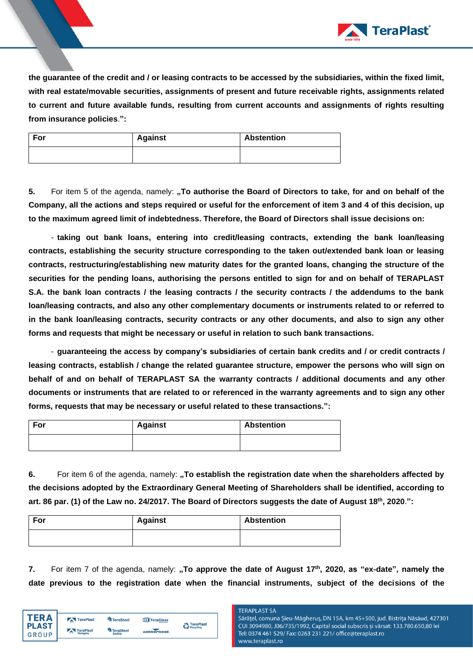

**the guarantee of the credit and / or leasing contracts to be accessed by the subsidiaries, within the fixed limit, with real estate/movable securities, assignments of present and future receivable rights, assignments related to current and future available funds, resulting from current accounts and assignments of rights resulting from insurance policies**.**":**

| For | <b>Against</b> | Abstention |
|-----|----------------|------------|
|     |                |            |

**5.** For item 5 of the agenda, namely: **"To authorise the Board of Directors to take, for and on behalf of the Company, all the actions and steps required or useful for the enforcement of item 3 and 4 of this decision, up to the maximum agreed limit of indebtedness. Therefore, the Board of Directors shall issue decisions on:** 

- **taking out bank loans, entering into credit/leasing contracts, extending the bank loan/leasing contracts, establishing the security structure corresponding to the taken out/extended bank loan or leasing contracts, restructuring/establishing new maturity dates for the granted loans, changing the structure of the securities for the pending loans, authorising the persons entitled to sign for and on behalf of TERAPLAST S.A. the bank loan contracts / the leasing contracts / the security contracts / the addendums to the bank loan/leasing contracts, and also any other complementary documents or instruments related to or referred to in the bank loan/leasing contracts, security contracts or any other documents, and also to sign any other forms and requests that might be necessary or useful in relation to such bank transactions.**

- **guaranteeing the access by company's subsidiaries of certain bank credits and / or credit contracts / leasing contracts, establish / change the related guarantee structure, empower the persons who will sign on behalf of and on behalf of TERAPLAST SA the warranty contracts / additional documents and any other documents or instruments that are related to or referenced in the warranty agreements and to sign any other forms, requests that may be necessary or useful related to these transactions.":**

| For | <b>Against</b> | <b>Abstention</b> |
|-----|----------------|-------------------|
|     |                |                   |

**6.** For item 6 of the agenda, namely: **"To establish the registration date when the shareholders affected by the decisions adopted by the Extraordinary General Meeting of Shareholders shall be identified, according to art. 86 par. (1) of the Law no. 24/2017. The Board of Directors suggests the date of August 18th , 2020**.**":** 

| For | <b>Against</b> | <b>Abstention</b> |
|-----|----------------|-------------------|
|     |                |                   |

**7.** For item 7 of the agenda, namely: "To approve the date of August 17<sup>th</sup>, 2020, as "ex-date", namely the **date previous to the registration date when the financial instruments, subject of the decisions of the** 

| FR A         | TeraPlast                           | <b>TeraSteel</b>       | TeraGlass  | <b>A</b> TeraPlast |
|--------------|-------------------------------------|------------------------|------------|--------------------|
| <b>PLAST</b> | TeraPlast                           | <sup>4</sup> TeraSteel |            | Recycling          |
| <b>GROUP</b> | $\overline{\phantom{m}}$<br>Hungary | <b>Serbia</b>          | wetterbest |                    |

## **TERAPLAST SA**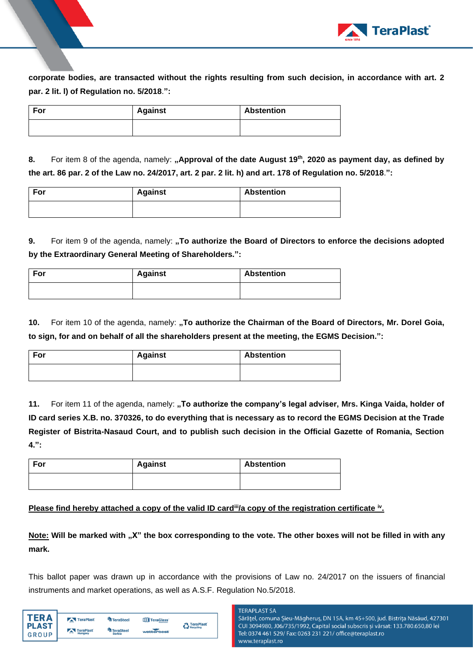

**corporate bodies, are transacted without the rights resulting from such decision, in accordance with art. 2 par. 2 lit. l) of Regulation no. 5/2018**.**":**

| For | <b>Against</b> | <b>Abstention</b> |
|-----|----------------|-------------------|
|     |                |                   |

**8.** For item 8 of the agenda, namely: "Approval of the date August 19<sup>th</sup>, 2020 as payment day, as defined by **the art. 86 par. 2 of the Law no. 24/2017, art. 2 par. 2 lit. h) and art. 178 of Regulation no. 5/2018**.**":**

| For | <b>Against</b> | <b>Abstention</b> |
|-----|----------------|-------------------|
|     |                |                   |

**9.** For item 9 of the agenda, namely: "To authorize the Board of Directors to enforce the decisions adopted **by the Extraordinary General Meeting of Shareholders.":**

| For | <b>Against</b> | <b>Abstention</b> |  |
|-----|----------------|-------------------|--|
|     |                |                   |  |

**10.** For item 10 of the agenda, namely: "To authorize the Chairman of the Board of Directors, Mr. Dorel Goia, **to sign, for and on behalf of all the shareholders present at the meeting, the EGMS Decision.":**

| For | <b>Against</b> | <b>Abstention</b> |  |
|-----|----------------|-------------------|--|
|     |                |                   |  |

**11.** For item 11 of the agenda, namely: **"To authorize the company's legal adviser, Mrs. Kinga Vaida, holder of ID card series X.B. no. 370326, to do everything that is necessary as to record the EGMS Decision at the Trade Register of Bistrita-Nasaud Court, and to publish such decision in the Official Gazette of Romania, Section 4.":**

| For | <b>Against</b> | <b>Abstention</b> |  |
|-----|----------------|-------------------|--|
|     |                |                   |  |

**Please find hereby attached a copy of the valid ID card<sup>iii</sup>/a copy of the registration certificate <sup>iv</sup>.** 

**Note: Will be marked with "X" the box corresponding to the vote. The other boxes will not be filled in with any mark.** 

This ballot paper was drawn up in accordance with the provisions of Law no. 24/2017 on the issuers of financial instruments and market operations, as well as A.S.F. Regulation No.5/2018.

| <b>A</b> TeraPlast |
|--------------------|
| Recycling          |
|                    |
|                    |